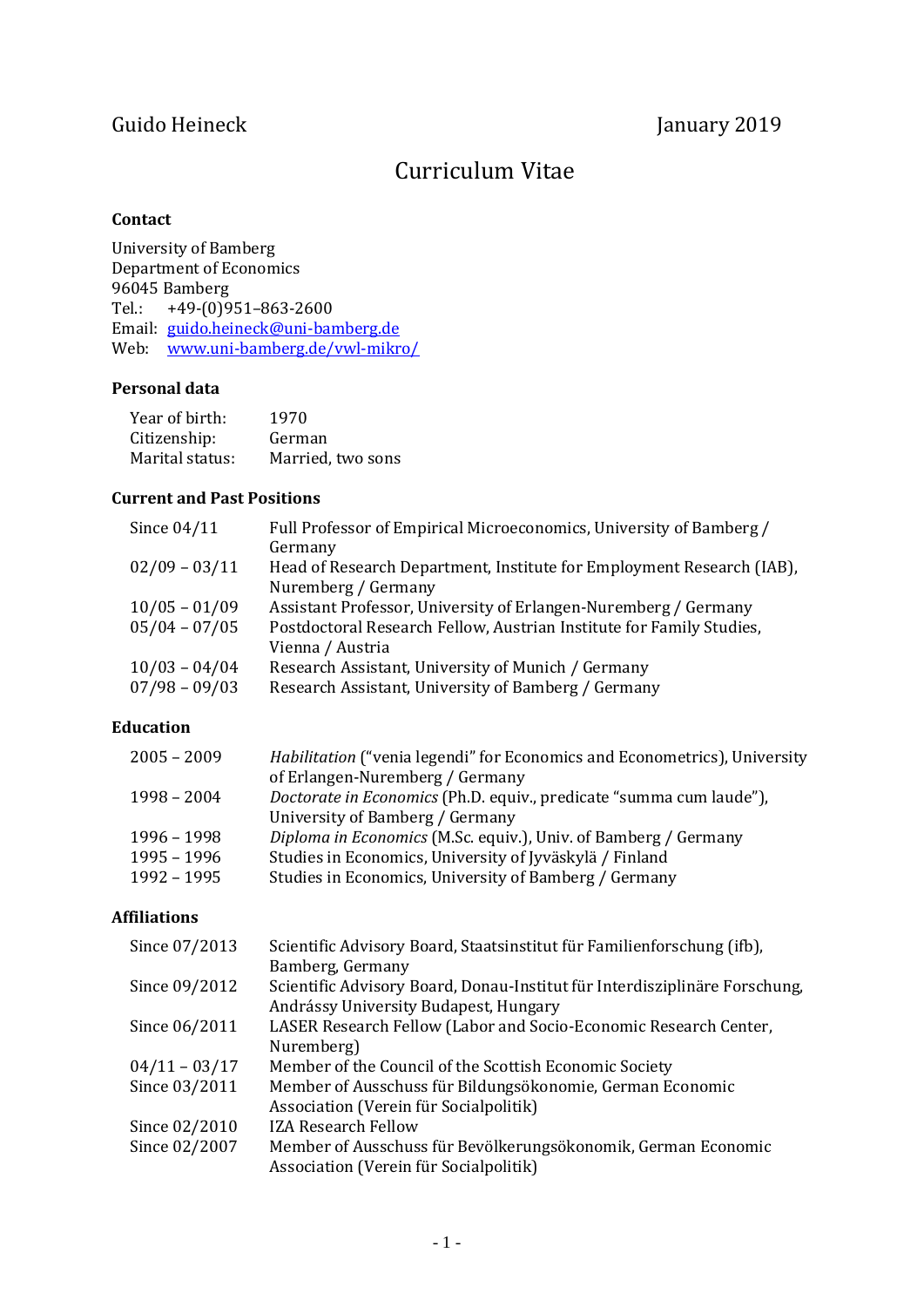# Guido Heineck January 2019

# Curriculum Vitae

# **Contact**

University of Bamberg Department of Economics 96045 Bamberg Tel.: +49-(0)951–863-2600 Email: [guido.heineck@uni-bamberg.de](mailto:guido.heineck@uni-bamberg.de) Web: [www.uni-bamberg.de/vwl-mikro/](http://www.uni-bamberg.de/vwl-mikro/)

# **Personal data**

| Year of birth:  | 1970              |
|-----------------|-------------------|
| Citizenship:    | German            |
| Marital status: | Married, two sons |

# **Current and Past Positions**

| Since $04/11$   | Full Professor of Empirical Microeconomics, University of Bamberg /<br>Germany               |
|-----------------|----------------------------------------------------------------------------------------------|
| $02/09 - 03/11$ | Head of Research Department, Institute for Employment Research (IAB),<br>Nuremberg / Germany |
|                 |                                                                                              |
| $10/05 - 01/09$ | Assistant Professor, University of Erlangen-Nuremberg / Germany                              |
| $05/04 - 07/05$ | Postdoctoral Research Fellow, Austrian Institute for Family Studies,                         |
|                 | Vienna / Austria                                                                             |
| $10/03 - 04/04$ | Research Assistant, University of Munich / Germany                                           |
| $07/98 - 09/03$ | Research Assistant, University of Bamberg / Germany                                          |

# **Education**

| $2005 - 2009$ | <i>Habilitation</i> ("venia legendi" for Economics and Econometrics), University |
|---------------|----------------------------------------------------------------------------------|
|               | of Erlangen-Nuremberg / Germany                                                  |
| $1998 - 2004$ | Doctorate in Economics (Ph.D. equiv., predicate "summa cum laude"),              |
|               | University of Bamberg / Germany                                                  |
| 1996 – 1998   | Diploma in Economics (M.Sc. equiv.), Univ. of Bamberg / Germany                  |
| 1995 – 1996   | Studies in Economics, University of Jyväskylä / Finland                          |
| 1992 - 1995   | Studies in Economics, University of Bamberg / Germany                            |
|               |                                                                                  |

# **Affiliations**

| Since 07/2013   | Scientific Advisory Board, Staatsinstitut für Familienforschung (ifb),     |
|-----------------|----------------------------------------------------------------------------|
|                 | Bamberg, Germany                                                           |
| Since 09/2012   | Scientific Advisory Board, Donau-Institut für Interdisziplinäre Forschung, |
|                 | Andrássy University Budapest, Hungary                                      |
| Since 06/2011   | LASER Research Fellow (Labor and Socio-Economic Research Center,           |
|                 | Nuremberg)                                                                 |
| $04/11 - 03/17$ | Member of the Council of the Scottish Economic Society                     |
| Since 03/2011   | Member of Ausschuss für Bildungsökonomie, German Economic                  |
|                 | Association (Verein für Socialpolitik)                                     |
| Since 02/2010   | <b>IZA Research Fellow</b>                                                 |
| Since 02/2007   | Member of Ausschuss für Bevölkerungsökonomik, German Economic              |
|                 | Association (Verein für Socialpolitik)                                     |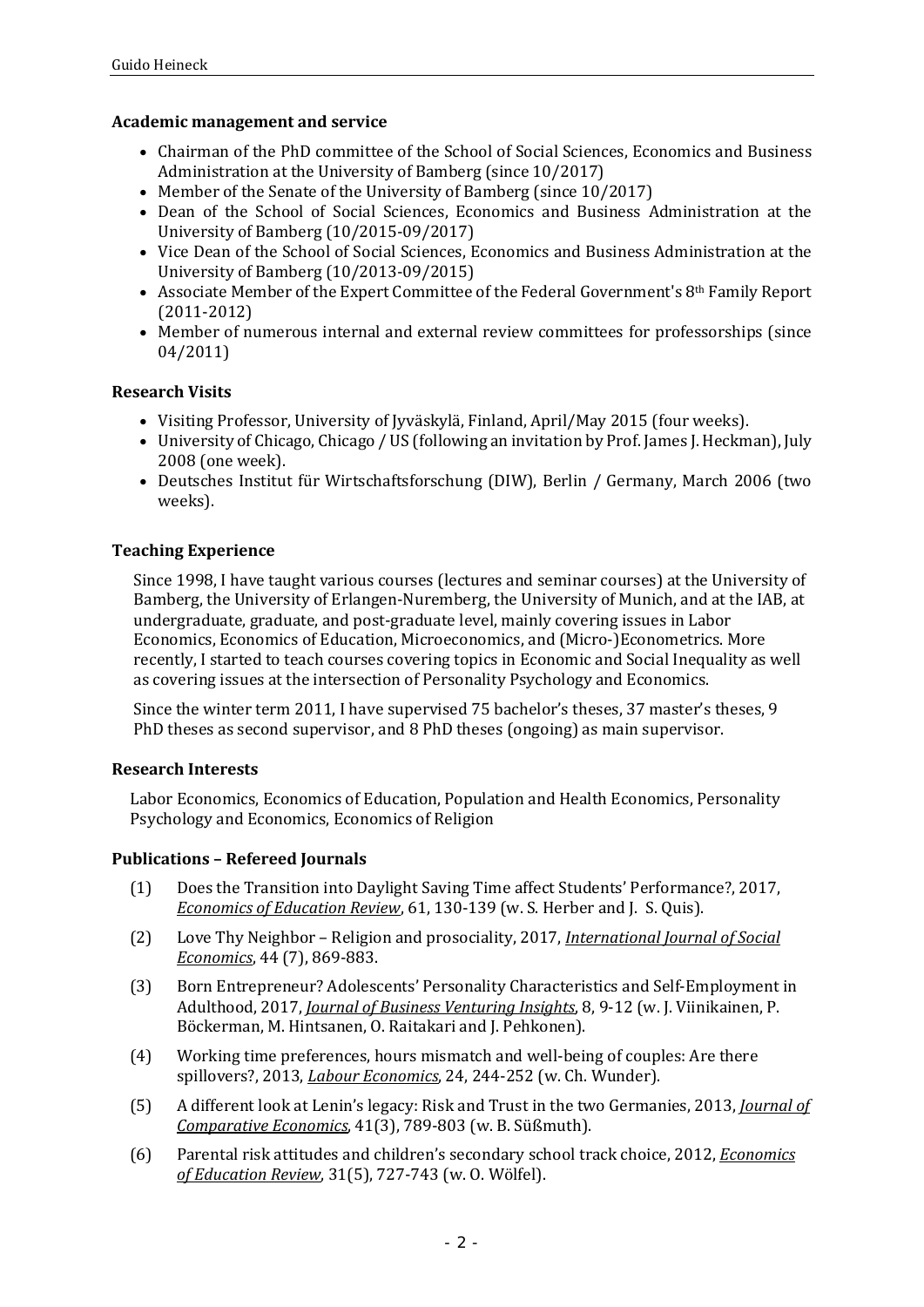#### **Academic management and service**

- Chairman of the PhD committee of the School of Social Sciences, Economics and Business Administration at the University of Bamberg (since 10/2017)
- Member of the Senate of the University of Bamberg (since 10/2017)
- Dean of the School of Social Sciences, Economics and Business Administration at the University of Bamberg (10/2015-09/2017)
- Vice Dean of the School of Social Sciences, Economics and Business Administration at the University of Bamberg (10/2013-09/2015)
- Associate Member of the Expert Committee of the Federal Government's 8th Family Report (2011-2012)
- Member of numerous internal and external review committees for professorships (since 04/2011)

#### **Research Visits**

- Visiting Professor, University of Jyväskylä, Finland, April/May 2015 (four weeks).
- University of Chicago, Chicago / US (following an invitation by Prof. James J. Heckman), July 2008 (one week).
- Deutsches Institut für Wirtschaftsforschung (DIW), Berlin / Germany, March 2006 (two weeks).

# **Teaching Experience**

Since 1998, I have taught various courses (lectures and seminar courses) at the University of Bamberg, the University of Erlangen-Nuremberg, the University of Munich, and at the IAB, at undergraduate, graduate, and post-graduate level, mainly covering issues in Labor Economics, Economics of Education, Microeconomics, and (Micro-)Econometrics. More recently, I started to teach courses covering topics in Economic and Social Inequality as well as covering issues at the intersection of Personality Psychology and Economics.

Since the winter term 2011, I have supervised 75 bachelor's theses, 37 master's theses, 9 PhD theses as second supervisor, and 8 PhD theses (ongoing) as main supervisor.

#### **Research Interests**

Labor Economics, Economics of Education, Population and Health Economics, Personality Psychology and Economics, Economics of Religion

# **Publications – Refereed Journals**

- (1) Does the Transition into Daylight Saving Time affect Students' Performance?, 2017, *Economics of Education Review*, 61, 130-139 (w. S. Herber and J. S. Quis).
- (2) Love Thy Neighbor Religion and prosociality, 2017, *International Journal of Social Economics*, 44 (7), 869-883.
- (3) Born Entrepreneur? Adolescents' Personality Characteristics and Self-Employment in Adulthood, 2017, *Journal of Business Venturing Insights*, 8, 9-12 (w. J. Viinikainen, P. Böckerman, M. Hintsanen, O. Raitakari and J. Pehkonen).
- (4) Working time preferences, hours mismatch and well-being of couples: Are there spillovers?, 2013, *Labour Economics*, 24, 244-252 (w. Ch. Wunder).
- (5) A different look at Lenin's legacy: Risk and Trust in the two Germanies, 2013, *Journal of Comparative Economics*, 41(3), 789-803 (w. B. Süßmuth).
- (6) Parental risk attitudes and children's secondary school track choice, 2012, *Economics of Education Review*, 31(5), 727-743 (w. O. Wölfel).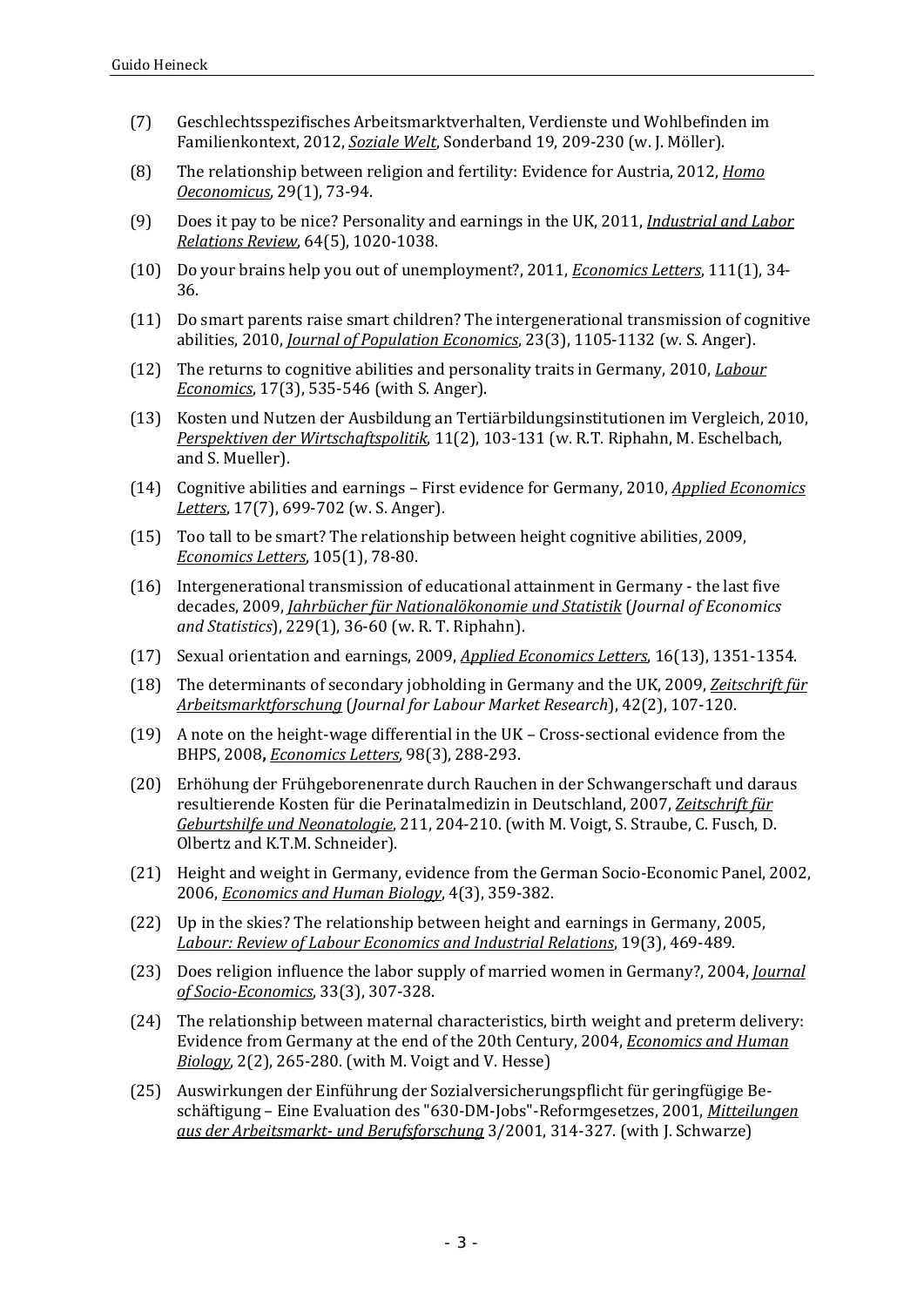- (7) Geschlechtsspezifisches Arbeitsmarktverhalten, Verdienste und Wohlbefinden im Familienkontext, 2012, *Soziale Welt*, Sonderband 19, 209-230 (w. J. Möller).
- (8) The relationship between religion and fertility: Evidence for Austria, 2012, *Homo Oeconomicus*, 29(1), 73-94.
- (9) Does it pay to be nice? Personality and earnings in the UK, 2011, *Industrial and Labor Relations Review*, 64(5), 1020-1038.
- (10) Do your brains help you out of unemployment?, 2011, *Economics Letters*, 111(1), 34- 36.
- (11) Do smart parents raise smart children? The intergenerational transmission of cognitive abilities, 2010, *Journal of Population Economics*, 23(3), 1105-1132 (w. S. Anger).
- (12) The returns to cognitive abilities and personality traits in Germany, 2010, *Labour Economics*, 17(3), 535-546 (with S. Anger).
- (13) Kosten und Nutzen der Ausbildung an Tertiärbildungsinstitutionen im Vergleich, 2010, *Perspektiven der Wirtschaftspolitik*, 11(2), 103-131 (w. R.T. Riphahn, M. Eschelbach, and S. Mueller).
- (14) Cognitive abilities and earnings First evidence for Germany, 2010, *Applied Economics Letters*, 17(7), 699-702 (w. S. Anger).
- (15) Too tall to be smart? The relationship between height cognitive abilities, 2009, *Economics Letters*, 105(1), 78-80.
- (16) Intergenerational transmission of educational attainment in Germany the last five decades, 2009, *Jahrbücher für Nationalökonomie und Statistik* (*Journal of Economics and Statistics*), 229(1), 36-60 (w. R. T. Riphahn).
- (17) Sexual orientation and earnings, 2009, *Applied Economics Letters*, 16(13), 1351-1354.
- (18) The determinants of secondary jobholding in Germany and the UK, 2009, *Zeitschrift für Arbeitsmarktforschung* (*Journal for Labour Market Research*), 42(2), 107-120.
- (19) A note on the height-wage differential in the UK Cross-sectional evidence from the BHPS, 2008**,** *Economics Letters*, 98(3), 288-293.
- (20) Erhöhung der Frühgeborenenrate durch Rauchen in der Schwangerschaft und daraus resultierende Kosten für die Perinatalmedizin in Deutschland, 2007, *Zeitschrift für Geburtshilfe und Neonatologie*, 211, 204-210. (with M. Voigt, S. Straube, C. Fusch, D. Olbertz and K.T.M. Schneider).
- (21) Height and weight in Germany, evidence from the German Socio-Economic Panel, 2002, 2006, *Economics and Human Biology*, 4(3), 359-382.
- (22) Up in the skies? The relationship between height and earnings in Germany, 2005, *Labour: Review of Labour Economics and Industrial Relations*, 19(3), 469-489.
- (23) Does religion influence the labor supply of married women in Germany?, 2004, *Journal of Socio-Economics*, 33(3), 307-328.
- (24) The relationship between maternal characteristics, birth weight and preterm delivery: Evidence from Germany at the end of the 20th Century, 2004, *Economics and Human Biology*, 2(2), 265-280. (with M. Voigt and V. Hesse)
- (25) Auswirkungen der Einführung der Sozialversicherungspflicht für geringfügige Beschäftigung – Eine Evaluation des "630-DM-Jobs"-Reformgesetzes, 2001, *Mitteilungen aus der Arbeitsmarkt- und Berufsforschung* 3/2001, 314-327. (with J. Schwarze)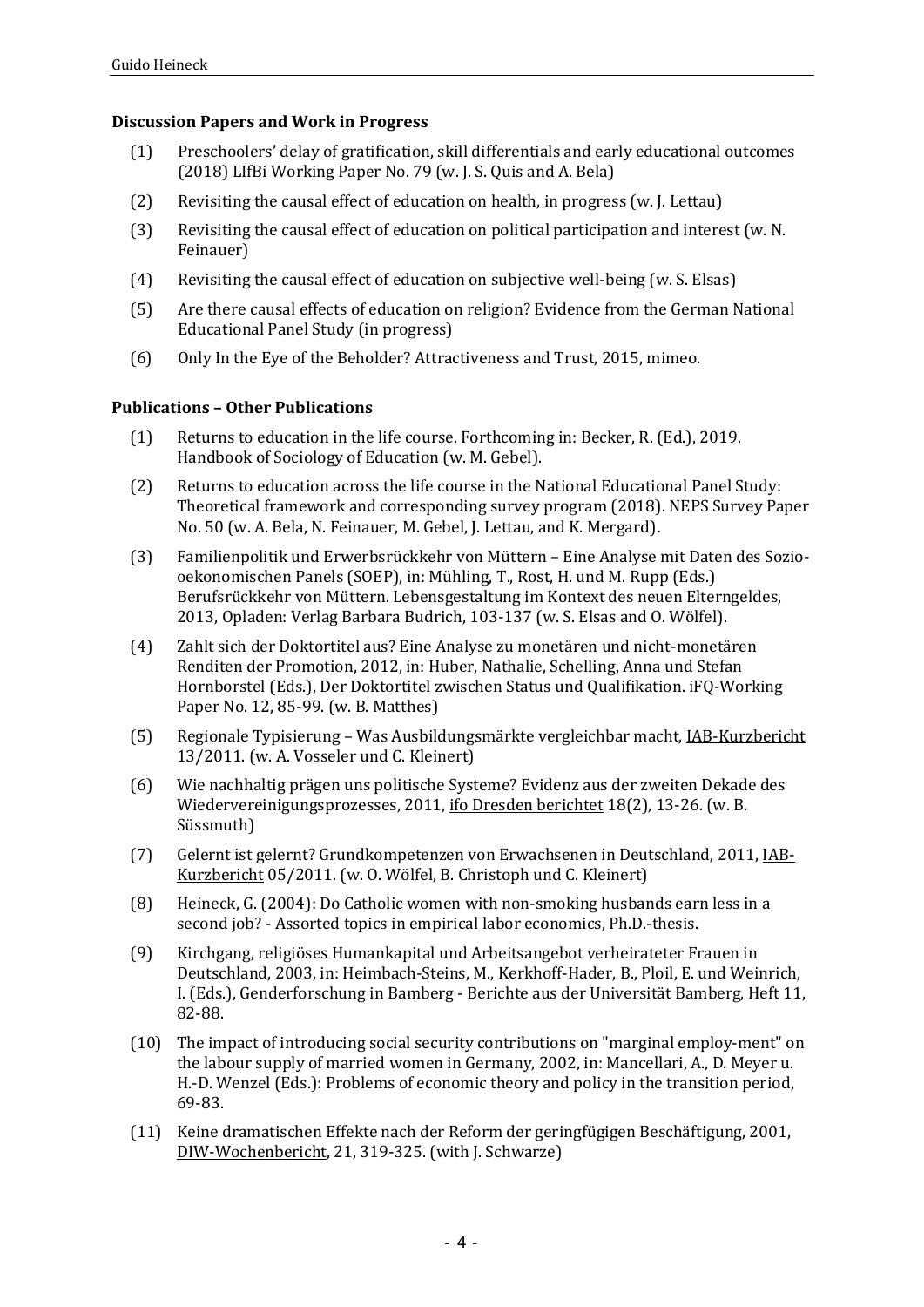# **Discussion Papers and Work in Progress**

- (1) Preschoolers' delay of gratification, skill differentials and early educational outcomes (2018) LIfBi Working Paper No. 79 (w. J. S. Quis and A. Bela)
- (2) Revisiting the causal effect of education on health, in progress (w. J. Lettau)
- (3) Revisiting the causal effect of education on political participation and interest (w. N. Feinauer)
- (4) Revisiting the causal effect of education on subjective well-being (w. S. Elsas)
- (5) Are there causal effects of education on religion? Evidence from the German National Educational Panel Study (in progress)
- (6) Only In the Eye of the Beholder? Attractiveness and Trust, 2015, mimeo.

#### **Publications – Other Publications**

- (1) Returns to education in the life course. Forthcoming in: Becker, R. (Ed.), 2019. Handbook of Sociology of Education (w. M. Gebel).
- (2) Returns to education across the life course in the National Educational Panel Study: Theoretical framework and corresponding survey program (2018). NEPS Survey Paper No. 50 (w. A. Bela, N. Feinauer, M. Gebel, J. Lettau, and K. Mergard).
- (3) Familienpolitik und Erwerbsrückkehr von Müttern Eine Analyse mit Daten des Soziooekonomischen Panels (SOEP), in: Mühling, T., Rost, H. und M. Rupp (Eds.) Berufsrückkehr von Müttern. Lebensgestaltung im Kontext des neuen Elterngeldes, 2013, Opladen: Verlag Barbara Budrich, 103-137 (w. S. Elsas and O. Wölfel).
- (4) Zahlt sich der Doktortitel aus? Eine Analyse zu monetären und nicht-monetären Renditen der Promotion, 2012, in: Huber, Nathalie, Schelling, Anna und Stefan Hornborstel (Eds.), Der Doktortitel zwischen Status und Qualifikation. iFQ-Working Paper No. 12, 85-99. (w. B. Matthes)
- (5) Regionale Typisierung Was Ausbildungsmärkte vergleichbar macht, IAB-Kurzbericht 13/2011. (w. A. Vosseler und C. Kleinert)
- (6) Wie nachhaltig prägen uns politische Systeme? Evidenz aus der zweiten Dekade des Wiedervereinigungsprozesses, 2011, ifo Dresden berichtet 18(2), 13-26. (w. B. Süssmuth)
- (7) Gelernt ist gelernt? Grundkompetenzen von Erwachsenen in Deutschland, 2011, IAB-Kurzbericht 05/2011. (w. O. Wölfel, B. Christoph und C. Kleinert)
- (8) Heineck, G. (2004): Do Catholic women with non-smoking husbands earn less in a second job? - Assorted topics in empirical labor economics, Ph.D.-thesis.
- (9) Kirchgang, religiöses Humankapital und Arbeitsangebot verheirateter Frauen in Deutschland, 2003, in: Heimbach-Steins, M., Kerkhoff-Hader, B., Ploil, E. und Weinrich, I. (Eds.), Genderforschung in Bamberg - Berichte aus der Universität Bamberg, Heft 11, 82-88.
- (10) The impact of introducing social security contributions on "marginal employ-ment" on the labour supply of married women in Germany, 2002, in: Mancellari, A., D. Meyer u. H.-D. Wenzel (Eds.): Problems of economic theory and policy in the transition period, 69-83.
- (11) Keine dramatischen Effekte nach der Reform der geringfügigen Beschäftigung, 2001, DIW-Wochenbericht, 21, 319-325. (with J. Schwarze)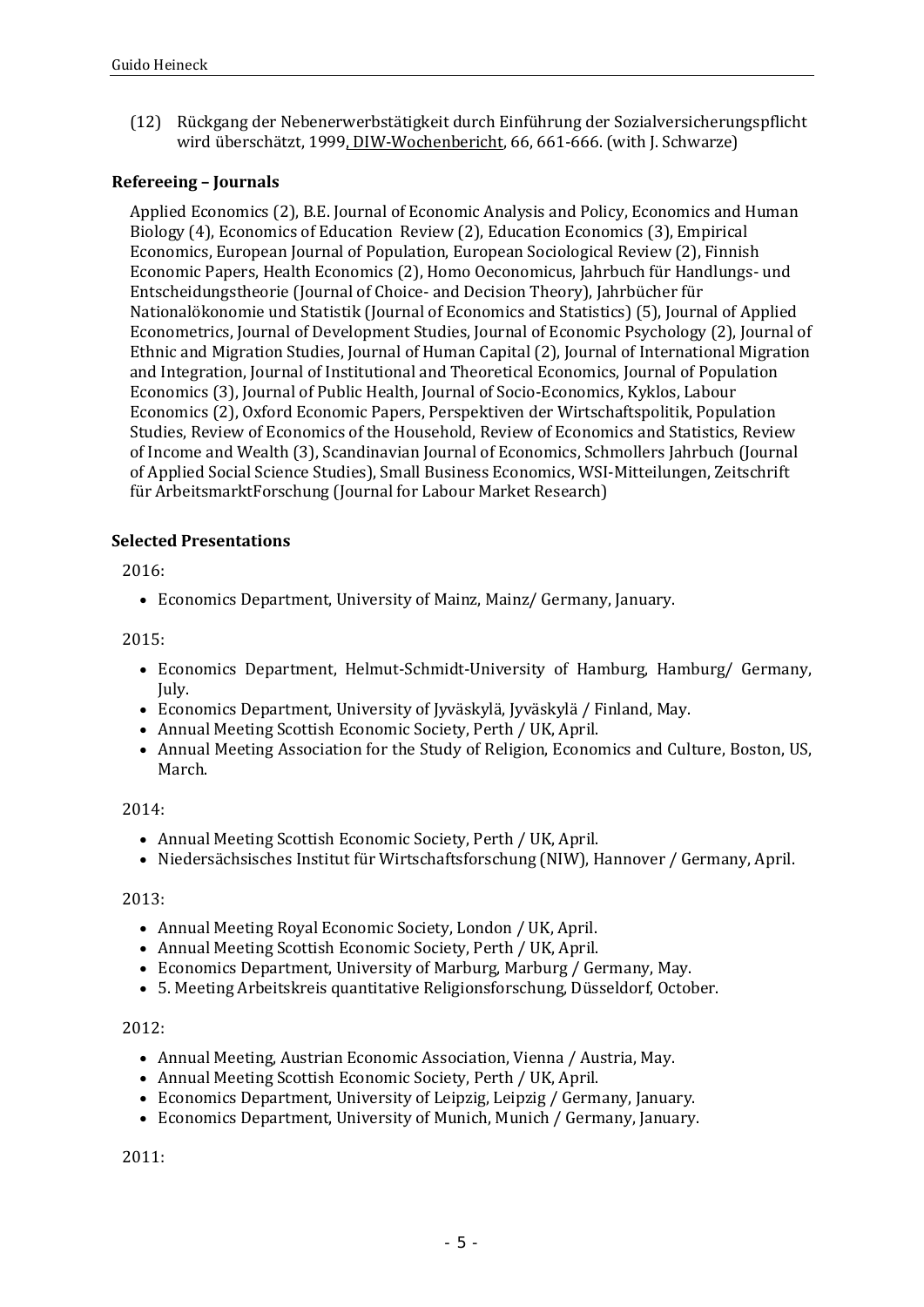(12) Rückgang der Nebenerwerbstätigkeit durch Einführung der Sozialversicherungspflicht wird überschätzt, 1999, DIW-Wochenbericht, 66, 661-666. (with J. Schwarze)

# **Refereeing – Journals**

Applied Economics (2), B.E. Journal of Economic Analysis and Policy, Economics and Human Biology (4), Economics of Education Review (2), Education Economics (3), Empirical Economics, European Journal of Population, European Sociological Review (2), Finnish Economic Papers, Health Economics (2), Homo Oeconomicus, Jahrbuch für Handlungs- und Entscheidungstheorie (Journal of Choice- and Decision Theory), Jahrbücher für Nationalökonomie und Statistik (Journal of Economics and Statistics) (5), Journal of Applied Econometrics, Journal of Development Studies, Journal of Economic Psychology (2), Journal of Ethnic and Migration Studies, Journal of Human Capital (2), Journal of International Migration and Integration, Journal of Institutional and Theoretical Economics, Journal of Population Economics (3), Journal of Public Health, Journal of Socio-Economics, Kyklos, Labour Economics (2), Oxford Economic Papers, Perspektiven der Wirtschaftspolitik, Population Studies, Review of Economics of the Household, Review of Economics and Statistics, Review of Income and Wealth (3), Scandinavian Journal of Economics, Schmollers Jahrbuch (Journal of Applied Social Science Studies), Small Business Economics, WSI-Mitteilungen, Zeitschrift für ArbeitsmarktForschung (Journal for Labour Market Research)

#### **Selected Presentations**

2016:

• Economics Department, University of Mainz, Mainz/ Germany, January.

#### 2015:

- Economics Department, Helmut-Schmidt-University of Hamburg, Hamburg/ Germany, July.
- Economics Department, University of Jyväskylä, Jyväskylä / Finland, May.
- Annual Meeting Scottish Economic Society, Perth / UK, April.
- Annual Meeting Association for the Study of Religion, Economics and Culture, Boston, US, March.

#### 2014:

- Annual Meeting Scottish Economic Society, Perth / UK, April.
- Niedersächsisches Institut für Wirtschaftsforschung (NIW), Hannover / Germany, April.

#### 2013:

- Annual Meeting Royal Economic Society, London / UK, April.
- Annual Meeting Scottish Economic Society, Perth / UK, April.
- Economics Department, University of Marburg, Marburg / Germany, May.
- 5. Meeting Arbeitskreis quantitative Religionsforschung, Düsseldorf, October.

#### 2012:

- Annual Meeting, Austrian Economic Association, Vienna / Austria, May.
- Annual Meeting Scottish Economic Society, Perth / UK, April.
- Economics Department, University of Leipzig, Leipzig / Germany, January.
- Economics Department, University of Munich, Munich / Germany, January.

2011: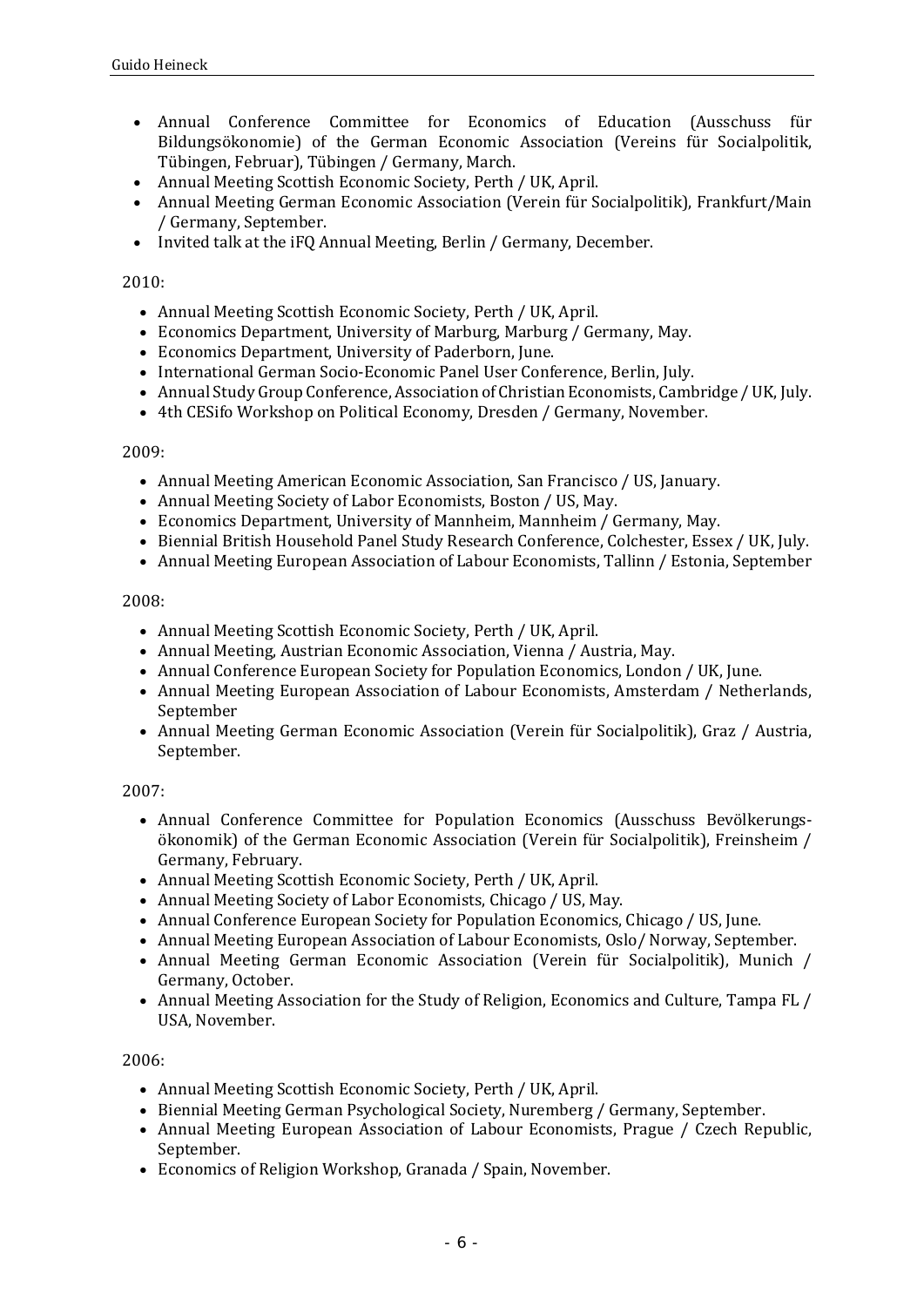- Annual Conference Committee for Economics of Education (Ausschuss für Bildungsökonomie) of the German Economic Association (Vereins für Socialpolitik, Tübingen, Februar), Tübingen / Germany, March.
- Annual Meeting Scottish Economic Society, Perth / UK, April.<br>• Annual Meeting German Economic Association (Verein für Sc
- Annual Meeting German Economic Association (Verein für Socialpolitik), Frankfurt/Main / Germany, September.
- Invited talk at the iFQ Annual Meeting, Berlin / Germany, December.

# 2010:

- Annual Meeting Scottish Economic Society, Perth / UK, April.
- Economics Department, University of Marburg, Marburg / Germany, May.
- Economics Department, University of Paderborn, June.
- International German Socio-Economic Panel User Conference, Berlin, July.
- Annual Study Group Conference, Association of Christian Economists, Cambridge / UK, July.
- 4th CESifo Workshop on Political Economy, Dresden / Germany, November.

#### 2009:

- Annual Meeting American Economic Association, San Francisco / US, January.
- Annual Meeting Society of Labor Economists, Boston / US, May.
- Economics Department, University of Mannheim, Mannheim / Germany, May.
- Biennial British Household Panel Study Research Conference, Colchester, Essex / UK, July.
- Annual Meeting European Association of Labour Economists, Tallinn / Estonia, September

#### 2008:

- Annual Meeting Scottish Economic Society, Perth / UK, April.
- Annual Meeting, Austrian Economic Association, Vienna / Austria, May.
- Annual Conference European Society for Population Economics, London / UK, June.
- Annual Meeting European Association of Labour Economists, Amsterdam / Netherlands, September
- Annual Meeting German Economic Association (Verein für Socialpolitik), Graz / Austria, September.

#### 2007:

- Annual Conference Committee for Population Economics (Ausschuss Bevölkerungsökonomik) of the German Economic Association (Verein für Socialpolitik), Freinsheim / Germany, February.
- Annual Meeting Scottish Economic Society, Perth / UK, April.
- Annual Meeting Society of Labor Economists, Chicago / US, May.
- Annual Conference European Society for Population Economics, Chicago / US, June.
- Annual Meeting European Association of Labour Economists, Oslo/ Norway, September.
- Annual Meeting German Economic Association (Verein für Socialpolitik), Munich / Germany, October.
- Annual Meeting Association for the Study of Religion, Economics and Culture, Tampa FL / USA, November.

#### 2006:

- Annual Meeting Scottish Economic Society, Perth / UK, April.
- Biennial Meeting German Psychological Society, Nuremberg / Germany, September.
- Annual Meeting European Association of Labour Economists, Prague / Czech Republic. September.
- Economics of Religion Workshop, Granada / Spain, November.